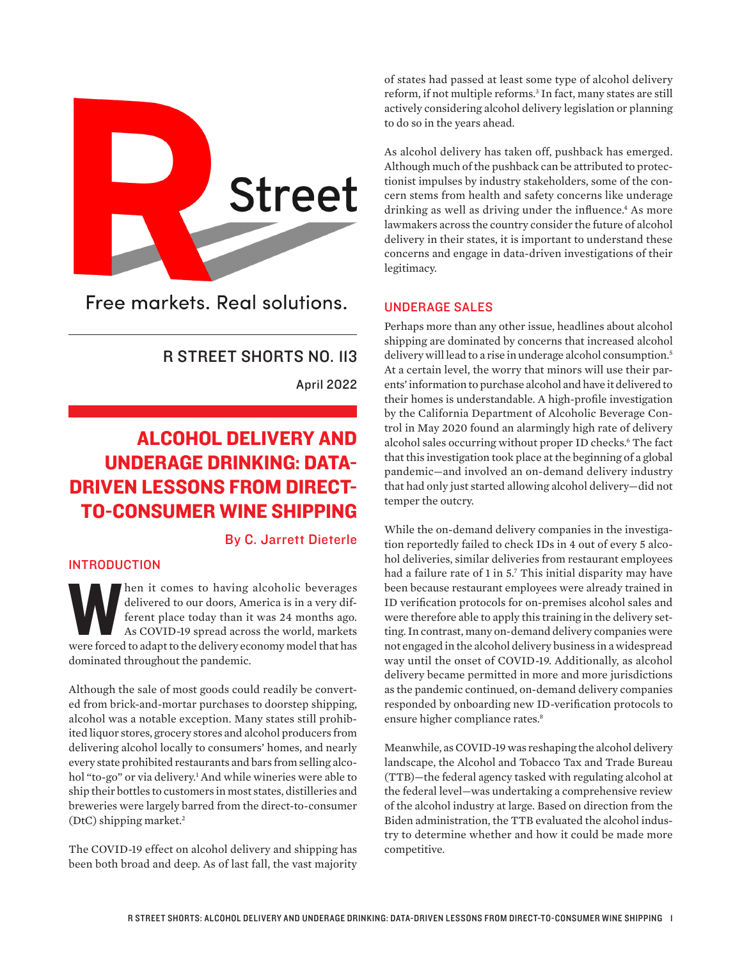<span id="page-0-0"></span>

Free markets, Real solutions.

# R STREET SHORTS NO. 113

April 2022

# ALCOHOL DELIVERY AND UNDERAGE DRINKING: DATA-DRIVEN LESSONS FROM DIRECT-TO-CONSUMER WINE SHIPPING

# By C. Jarrett Dieterle

# **INTRODUCTION**

When it comes to having alcoholic beverages<br>delivered to our doors, America is in a very dif-<br>ferent place today than it was 24 months ago.<br>As COVID-19 spread across the world, markets<br>were forced to adapt to the delivery delivered to our doors, America is in a very different place today than it was 24 months ago. As COVID-19 spread across the world, markets dominated throughout the pandemic.

Although the sale of most goods could readily be converted from brick-and-mortar purchases to doorstep shipping, alcohol was a notable exception. Many states still prohibited liquor stores, grocery stores and alcohol producers from delivering alcohol locally to consumers' homes, and nearly every state prohibited restaurants and bars from selling alco-hol "to-go" or via delivery.<sup>[1](#page-4-0)</sup> And while wineries were able to ship their bottles to customers in most states, distilleries and breweries were largely barred from the direct-to-consumer (DtC) shipping market[.2](#page-4-0)

The COVID-19 effect on alcohol delivery and shipping has been both broad and deep. As of last fall, the vast majority of states had passed at least some type of alcohol delivery reform, if not multiple reforms.<sup>3</sup> In fact, many states are still actively considering alcohol delivery legislation or planning to do so in the years ahead.

As alcohol delivery has taken off, pushback has emerged. Although much of the pushback can be attributed to protectionist impulses by industry stakeholders, some of the concern stems from health and safety concerns like underage drinking as well as driving under the influence.<sup>4</sup> As more lawmakers across the country consider the future of alcohol delivery in their states, it is important to understand these concerns and engage in data-driven investigations of their legitimacy.

# UNDERAGE SALES

Perhaps more than any other issue, headlines about alcohol shipping are dominated by concerns that increased alcohol delivery will lead to a rise in underage alcohol consumption.<sup>[5](#page-4-0)</sup> At a certain level, the worry that minors will use their parents' information to purchase alcohol and have it delivered to their homes is understandable. A high-profile investigation by the California Department of Alcoholic Beverage Control in May 2020 found an alarmingly high rate of delivery alcohol sales occurring without proper ID checks[.6](#page-4-0) The fact that this investigation took place at the beginning of a global pandemic—and involved an on-demand delivery industry that had only just started allowing alcohol delivery—did not temper the outcry.

While the on-demand delivery companies in the investigation reportedly failed to check IDs in 4 out of every 5 alcohol deliveries, similar deliveries from restaurant employees had a failure rate of 1 in 5[.7](#page-4-0) This initial disparity may have been because restaurant employees were already trained in ID verification protocols for on-premises alcohol sales and were therefore able to apply this training in the delivery setting. In contrast, many on-demand delivery companies were not engaged in the alcohol delivery business in a widespread way until the onset of COVID-19. Additionally, as alcohol delivery became permitted in more and more jurisdictions as the pandemic continued, on-demand delivery companies responded by onboarding new ID-verification protocols to ensure higher compliance rates.<sup>8</sup>

Meanwhile, as COVID-19 was reshaping the alcohol delivery landscape, the Alcohol and Tobacco Tax and Trade Bureau (TTB)—the federal agency tasked with regulating alcohol at the federal level—was undertaking a comprehensive review of the alcohol industry at large. Based on direction from the Biden administration, the TTB evaluated the alcohol industry to determine whether and how it could be made more competitive.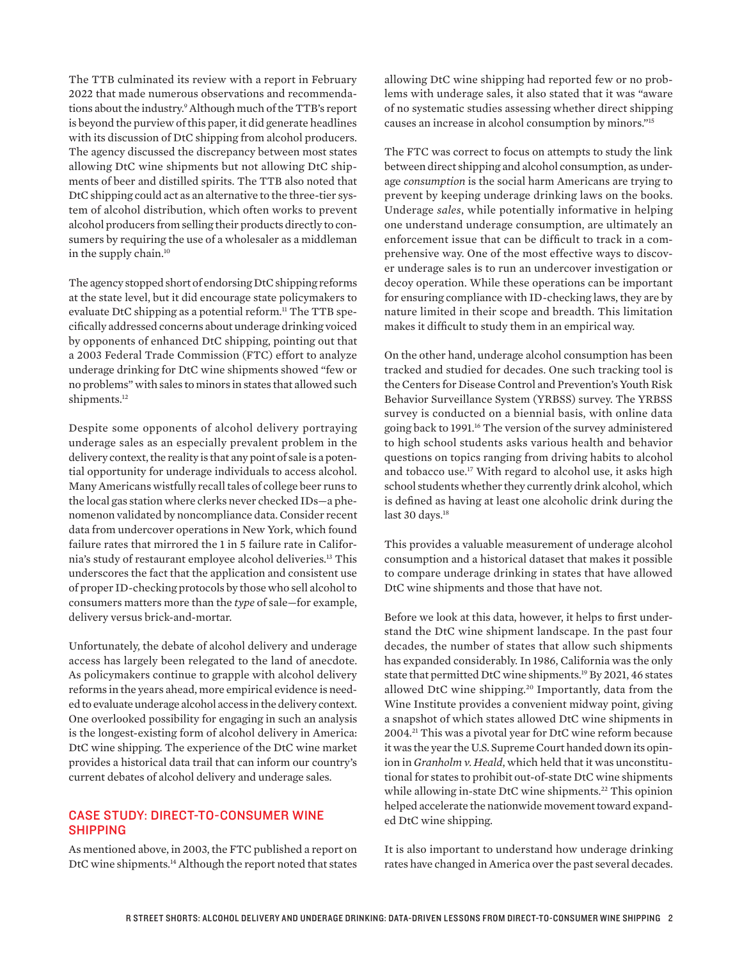<span id="page-1-0"></span>The TTB culminated its review with a report in February 2022 that made numerous observations and recommendations about the industry.[9](#page-4-0) Although much of the TTB's report is beyond the purview of this paper, it did generate headlines with its discussion of DtC shipping from alcohol producers. The agency discussed the discrepancy between most states allowing DtC wine shipments but not allowing DtC shipments of beer and distilled spirits. The TTB also noted that DtC shipping could act as an alternative to the three-tier system of alcohol distribution, which often works to prevent alcohol producers from selling their products directly to consumers by requiring the use of a wholesaler as a middleman in the supply chain.<sup>10</sup>

The agency stopped short of endorsing DtC shipping reforms at the state level, but it did encourage state policymakers to evaluate DtC shipping as a potential reform.<sup>[11](#page-4-0)</sup> The TTB specifically addressed concerns about underage drinking voiced by opponents of enhanced DtC shipping, pointing out that a 2003 Federal Trade Commission (FTC) effort to analyze underage drinking for DtC wine shipments showed "few or no problems" with sales to minors in states that allowed such shipments.<sup>[12](#page-4-0)</sup>

Despite some opponents of alcohol delivery portraying underage sales as an especially prevalent problem in the delivery context, the reality is that any point of sale is a potential opportunity for underage individuals to access alcohol. Many Americans wistfully recall tales of college beer runs to the local gas station where clerks never checked IDs—a phenomenon validated by noncompliance data. Consider recent data from undercover operations in New York, which found failure rates that mirrored the 1 in 5 failure rate in California's study of restaurant employee alcohol deliveries[.13](#page-4-0) This underscores the fact that the application and consistent use of proper ID-checking protocols by those who sell alcohol to consumers matters more than the *type* of sale—for example, delivery versus brick-and-mortar.

Unfortunately, the debate of alcohol delivery and underage access has largely been relegated to the land of anecdote. As policymakers continue to grapple with alcohol delivery reforms in the years ahead, more empirical evidence is needed to evaluate underage alcohol access in the delivery context. One overlooked possibility for engaging in such an analysis is the longest-existing form of alcohol delivery in America: DtC wine shipping. The experience of the DtC wine market provides a historical data trail that can inform our country's current debates of alcohol delivery and underage sales.

## CASE STUDY: DIRECT-TO-CONSUMER WINE SHIPPING

As mentioned above, in 2003, the FTC published a report on DtC wine shipments.<sup>14</sup> Although the report noted that states

allowing DtC wine shipping had reported few or no problems with underage sales, it also stated that it was "aware of no systematic studies assessing whether direct shipping causes an increase in alcohol consumption by minors.["15](#page-4-0)

The FTC was correct to focus on attempts to study the link between direct shipping and alcohol consumption, as underage *consumption* is the social harm Americans are trying to prevent by keeping underage drinking laws on the books. Underage *sales*, while potentially informative in helping one understand underage consumption, are ultimately an enforcement issue that can be difficult to track in a comprehensive way. One of the most effective ways to discover underage sales is to run an undercover investigation or decoy operation. While these operations can be important for ensuring compliance with ID-checking laws, they are by nature limited in their scope and breadth. This limitation makes it difficult to study them in an empirical way.

On the other hand, underage alcohol consumption has been tracked and studied for decades. One such tracking tool is the Centers for Disease Control and Prevention's Youth Risk Behavior Surveillance System (YRBSS) survey. The YRBSS survey is conducted on a biennial basis, with online data going back to 1991.[16](#page-4-0) The version of the survey administered to high school students asks various health and behavior questions on topics ranging from driving habits to alcohol and tobacco use.<sup>17</sup> With regard to alcohol use, it asks high school students whether they currently drink alcohol, which is defined as having at least one alcoholic drink during the last 30 days.<sup>[18](#page-4-0)</sup>

This provides a valuable measurement of underage alcohol consumption and a historical dataset that makes it possible to compare underage drinking in states that have allowed DtC wine shipments and those that have not.

Before we look at this data, however, it helps to first understand the DtC wine shipment landscape. In the past four decades, the number of states that allow such shipments has expanded considerably. In 1986, California was the only state that permitted DtC wine shipments[.19](#page-4-0) By 2021, 46 states allowed DtC wine shipping.<sup>20</sup> Importantly, data from the Wine Institute provides a convenient midway point, giving a snapshot of which states allowed DtC wine shipments in 2004[.21](#page-4-0) This was a pivotal year for DtC wine reform because it was the year the U.S. Supreme Court handed down its opinion in *Granholm v. Heald*, which held that it was unconstitutional for states to prohibit out-of-state DtC wine shipments while allowing in-state DtC wine shipments.<sup>22</sup> This opinion helped accelerate the nationwide movement toward expanded DtC wine shipping.

It is also important to understand how underage drinking rates have changed in America over the past several decades.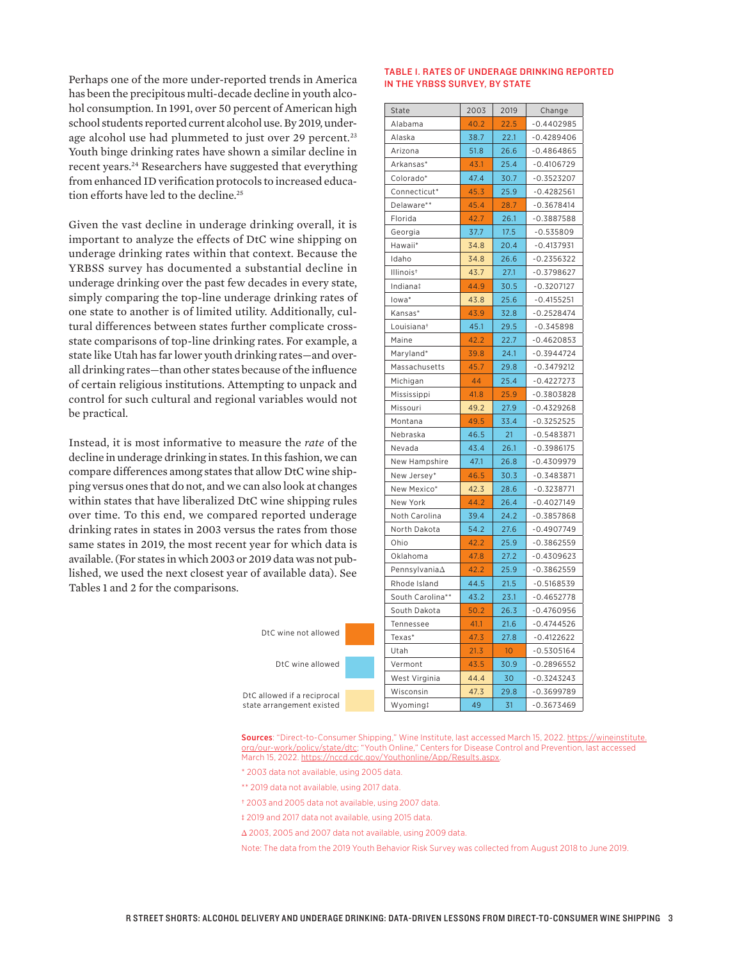<span id="page-2-0"></span>Perhaps one of the more under-reported trends in America has been the precipitous multi-decade decline in youth alcohol consumption. In 1991, over 50 percent of American high school students reported current alcohol use. By 2019, under-age alcohol use had plummeted to just over 29 percent.<sup>[23](#page-4-0)</sup> Youth binge drinking rates have shown a similar decline in recent years.[24](#page-4-0) Researchers have suggested that everything from enhanced ID verification protocols to increased education efforts have led to the decline.<sup>25</sup>

Given the vast decline in underage drinking overall, it is important to analyze the effects of DtC wine shipping on underage drinking rates within that context. Because the YRBSS survey has documented a substantial decline in underage drinking over the past few decades in every state, simply comparing the top-line underage drinking rates of one state to another is of limited utility. Additionally, cultural differences between states further complicate crossstate comparisons of top-line drinking rates. For example, a state like Utah has far lower youth drinking rates—and overall drinking rates—than other states because of the influence of certain religious institutions. Attempting to unpack and control for such cultural and regional variables would not be practical.

Instead, it is most informative to measure the *rate* of the decline in underage drinking in states. In this fashion, we can compare differences among states that allow DtC wine shipping versus ones that do not, and we can also look at changes within states that have liberalized DtC wine shipping rules over time. To this end, we compared reported underage drinking rates in states in 2003 versus the rates from those same states in 2019, the most recent year for which data is available. (For states in which 2003 or 2019 data was not published, we used the next closest year of available data). See Tables 1 and 2 for the comparisons.

#### TABLE 1. RATES OF UNDERAGE DRINKING REPORTED IN THE YRBSS SURVEY, BY STATE

| State                  | 2003 | 2019            | Change       |
|------------------------|------|-----------------|--------------|
| Alabama                | 40.2 | 22.5            | $-0.4402985$ |
| Alaska                 | 38.7 | 22.1            | $-0.4289406$ |
| Arizona                | 51.8 | 26.6            | $-0.4864865$ |
| Arkansas*              | 43.1 | 25.4            | $-0.4106729$ |
| Colorado*              | 47.4 | 30.7            | $-0.3523207$ |
| Connecticut*           | 45.3 | 25.9            | -0.4282561   |
| Delaware**             | 45.4 | 28.7            | $-0.3678414$ |
| Florida                | 42.7 | 26.1            | $-0.3887588$ |
| Georgia                | 37.7 | 17.5            | $-0.535809$  |
| Hawaii*                | 34.8 | 20.4            | $-0.4137931$ |
| Idaho                  | 34.8 | 26.6            | $-0.2356322$ |
| Illinois <sup>t</sup>  | 43.7 | 27.1            | $-0.3798627$ |
| Indiana‡               | 44.9 | 30.5            | -0.3207127   |
| lowa*                  | 43.8 | 25.6            | $-0.4155251$ |
| Kansas*                | 43.9 | 32.8            | $-0.2528474$ |
| Louisiana <sup>+</sup> | 45.1 | 29.5            | $-0.345898$  |
| Maine                  | 42.2 | 22.7            | $-0.4620853$ |
| Maryland*              | 39.8 | 24.1            | $-0.3944724$ |
| Massachusetts          | 45.7 | 29.8            | $-0.3479212$ |
| Michigan               | 44   | 25.4            | $-0.4227273$ |
| Mississippi            | 41.8 | 25.9            | $-0.3803828$ |
| Missouri               | 49.2 | 27.9            | $-0.4329268$ |
| Montana                | 49.5 | 33.4            | $-0.3252525$ |
| Nebraska               | 46.5 | 21              | $-0.5483871$ |
| Nevada                 | 43.4 | 26.1            | $-0.3986175$ |
| New Hampshire          | 47.1 | 26.8            | $-0.4309979$ |
| New Jersey*            | 46.5 | 30.3            | $-0.3483871$ |
| New Mexico*            | 42.3 | 28.6            | $-0.3238771$ |
| New York               | 44.2 | 26.4            | -0.4027149   |
| Noth Carolina          | 39.4 | 24.2            | $-0.3857868$ |
| North Dakota           | 54.2 | 27.6            | -0.4907749   |
| Ohio                   | 42.2 | 25.9            | $-0.3862559$ |
| Oklahoma               | 47.8 | 27.2            | $-0.4309623$ |
| Pennsylvania $\Delta$  | 42.2 | 25.9            | $-0.3862559$ |
| Rhode Island           | 44.5 | 21.5            | $-0.5168539$ |
| South Carolina**       | 43.2 | 23.1            | $-0.4652778$ |
| South Dakota           | 50.2 | 26.3            | $-0.4760956$ |
| Tennessee              | 41.1 | 21.6            | $-0.4744526$ |
| Texas*                 | 47.3 | 27.8            | $-0.4122622$ |
| Utah                   | 21.3 | 10 <sup>°</sup> | $-0.5305164$ |
| Vermont                | 43.5 | 30.9            | $-0.2896552$ |
| West Virginia          | 44.4 | 30              | $-0.3243243$ |
| Wisconsin              | 47.3 | 29.8            | $-0.3699789$ |
| Wyoming!               | 49   | $-31$           | $-0.3673469$ |

DtC allowed if a reciprocal state arrangement existed

DtC wine not allowed

DtC wine allowed

Sources: "Direct-to-Consumer Shipping," Wine Institute, last accessed March 15, 2022. [https://wineinstitute.](https://wineinstitute.org/our-work/policy/state/dtc) [org/our-work/policy/state/dtc;](https://wineinstitute.org/our-work/policy/state/dtc) "Youth Online," Centers for Disease Control and Prevention, last accessed March 15, 2022. <https://nccd.cdc.gov/Youthonline/App/Results.aspx>.

- \* 2003 data not available, using 2005 data.
- \*\* 2019 data not available, using 2017 data.
- † 2003 and 2005 data not available, using 2007 data.
- ‡ 2019 and 2017 data not available, using 2015 data.
- Δ 2003, 2005 and 2007 data not available, using 2009 data.

Note: The data from the 2019 Youth Behavior Risk Survey was collected from August 2018 to June 2019.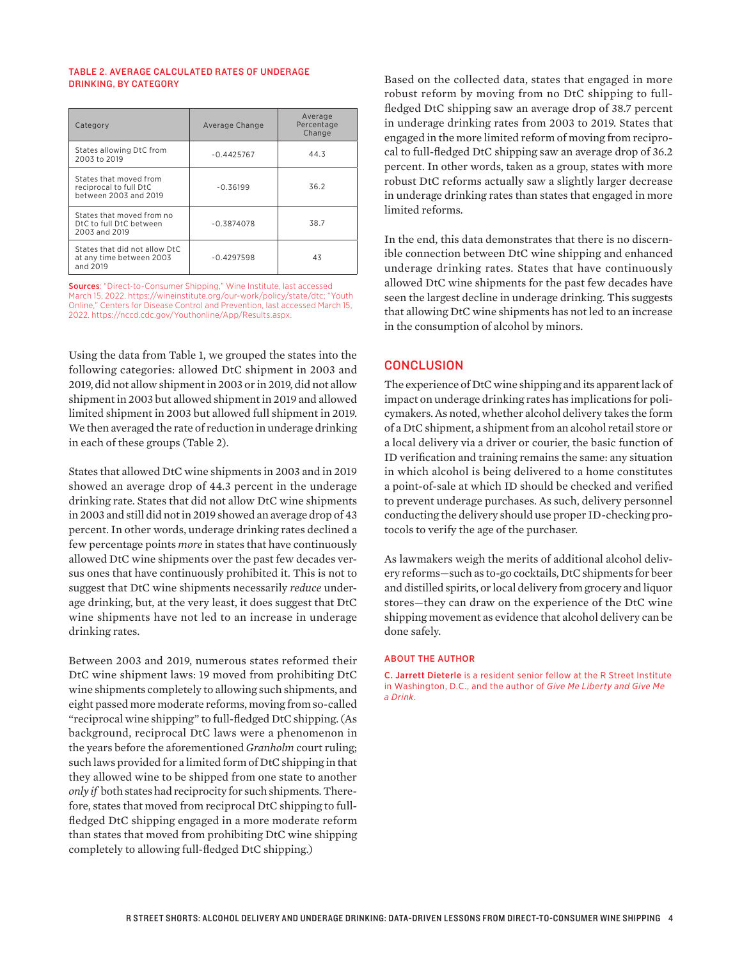#### TABLE 2. AVERAGE CALCULATED RATES OF UNDERAGE DRINKING, BY CATEGORY

| Category                                                                  | Average Change | Average<br>Percentage<br>Change |
|---------------------------------------------------------------------------|----------------|---------------------------------|
| States allowing DtC from<br>2003 to 2019                                  | $-0.4425767$   | 44.3                            |
| States that moved from<br>reciprocal to full DtC<br>between 2003 and 2019 | $-0.36199$     | 36.2                            |
| States that moved from no<br>DtC to full DtC between<br>2003 and 2019     | $-0.3874078$   | 38.7                            |
| States that did not allow DtC<br>at any time between 2003<br>and 2019     | $-0.4297598$   | 43                              |

Sources: "Direct-to-Consumer Shipping," Wine Institute, last accessed March 15, 2022. <https://wineinstitute.org/our-work/policy/state/dtc>; "Youth Online," Centers for Disease Control and Prevention, last accessed March 15, 2022. <https://nccd.cdc.gov/Youthonline/App/Results.aspx>.

Using the data from Table 1, we grouped the states into the following categories: allowed DtC shipment in 2003 and 2019, did not allow shipment in 2003 or in 2019, did not allow shipment in 2003 but allowed shipment in 2019 and allowed limited shipment in 2003 but allowed full shipment in 2019. We then averaged the rate of reduction in underage drinking in each of these groups (Table 2).

States that allowed DtC wine shipments in 2003 and in 2019 showed an average drop of 44.3 percent in the underage drinking rate. States that did not allow DtC wine shipments in 2003 and still did not in 2019 showed an average drop of 43 percent. In other words, underage drinking rates declined a few percentage points *more* in states that have continuously allowed DtC wine shipments over the past few decades versus ones that have continuously prohibited it. This is not to suggest that DtC wine shipments necessarily *reduce* underage drinking, but, at the very least, it does suggest that DtC wine shipments have not led to an increase in underage drinking rates.

Between 2003 and 2019, numerous states reformed their DtC wine shipment laws: 19 moved from prohibiting DtC wine shipments completely to allowing such shipments, and eight passed more moderate reforms, moving from so-called "reciprocal wine shipping" to full-fledged DtC shipping. (As background, reciprocal DtC laws were a phenomenon in the years before the aforementioned *Granholm* court ruling; such laws provided for a limited form of DtC shipping in that they allowed wine to be shipped from one state to another *only if* both states had reciprocity for such shipments. Therefore, states that moved from reciprocal DtC shipping to fullfledged DtC shipping engaged in a more moderate reform than states that moved from prohibiting DtC wine shipping completely to allowing full-fledged DtC shipping.)

Based on the collected data, states that engaged in more robust reform by moving from no DtC shipping to fullfledged DtC shipping saw an average drop of 38.7 percent in underage drinking rates from 2003 to 2019. States that engaged in the more limited reform of moving from reciprocal to full-fledged DtC shipping saw an average drop of 36.2 percent. In other words, taken as a group, states with more robust DtC reforms actually saw a slightly larger decrease in underage drinking rates than states that engaged in more limited reforms.

In the end, this data demonstrates that there is no discernible connection between DtC wine shipping and enhanced underage drinking rates. States that have continuously allowed DtC wine shipments for the past few decades have seen the largest decline in underage drinking. This suggests that allowing DtC wine shipments has not led to an increase in the consumption of alcohol by minors.

## **CONCLUSION**

The experience of DtC wine shipping and its apparent lack of impact on underage drinking rates has implications for policymakers. As noted, whether alcohol delivery takes the form of a DtC shipment, a shipment from an alcohol retail store or a local delivery via a driver or courier, the basic function of ID verification and training remains the same: any situation in which alcohol is being delivered to a home constitutes a point-of-sale at which ID should be checked and verified to prevent underage purchases. As such, delivery personnel conducting the delivery should use proper ID-checking protocols to verify the age of the purchaser.

As lawmakers weigh the merits of additional alcohol delivery reforms—such as to-go cocktails, DtC shipments for beer and distilled spirits, or local delivery from grocery and liquor stores—they can draw on the experience of the DtC wine shipping movement as evidence that alcohol delivery can be done safely.

#### ABOUT THE AUTHOR

C. Jarrett Dieterle is a resident senior fellow at the R Street Institute in Washington, D.C., and the author of *Give Me Liberty and Give Me a Drink*.